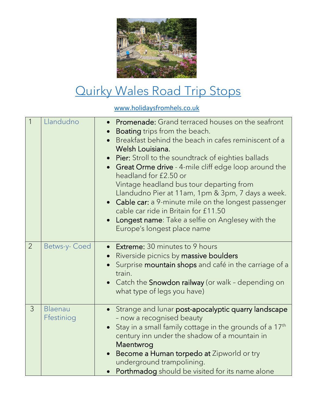

## [Quirky Wales Road Trip Stops](https://www.holidaysfromhels.co.uk/2021/04/29/caravan-holidays/)

[www.holidaysfromhels.co.uk](http://www.holidaysfromhels.co.uk/)

| $\overline{1}$ | Llandudno             | <b>Promenade:</b> Grand terraced houses on the seafront<br>Boating trips from the beach.<br>Breakfast behind the beach in cafes reminiscent of a<br>Welsh Louisiana.<br>Pier: Stroll to the soundtrack of eighties ballads<br><b>Great Orme drive</b> - 4-mile cliff edge loop around the<br>headland for £2.50 or<br>Vintage headland bus tour departing from<br>Llandudno Pier at 11am, 1pm & 3pm, 7 days a week.<br>Cable car: a 9-minute mile on the longest passenger<br>cable car ride in Britain for £11.50<br>Longest name: Take a selfie on Anglesey with the<br>Europe's longest place name |
|----------------|-----------------------|-------------------------------------------------------------------------------------------------------------------------------------------------------------------------------------------------------------------------------------------------------------------------------------------------------------------------------------------------------------------------------------------------------------------------------------------------------------------------------------------------------------------------------------------------------------------------------------------------------|
| $\overline{2}$ | Betws-y-Coed          | <b>Extreme:</b> 30 minutes to 9 hours<br>Riverside picnics by massive boulders<br>$\bullet$<br>Surprise mountain shops and café in the carriage of a<br>train.<br>Catch the Snowdon railway (or walk - depending on<br>what type of legs you have)                                                                                                                                                                                                                                                                                                                                                    |
| $\overline{3}$ | Blaenau<br>Ffestiniog | Strange and lunar post-apocalyptic quarry landscape<br>- now a recognised beauty<br>Stay in a small family cottage in the grounds of a 17 <sup>th</sup><br>century inn under the shadow of a mountain in<br>Maentwrog<br>Become a Human torpedo at Zipworld or try<br>underground trampolining.<br>Porthmadog should be visited for its name alone                                                                                                                                                                                                                                                    |